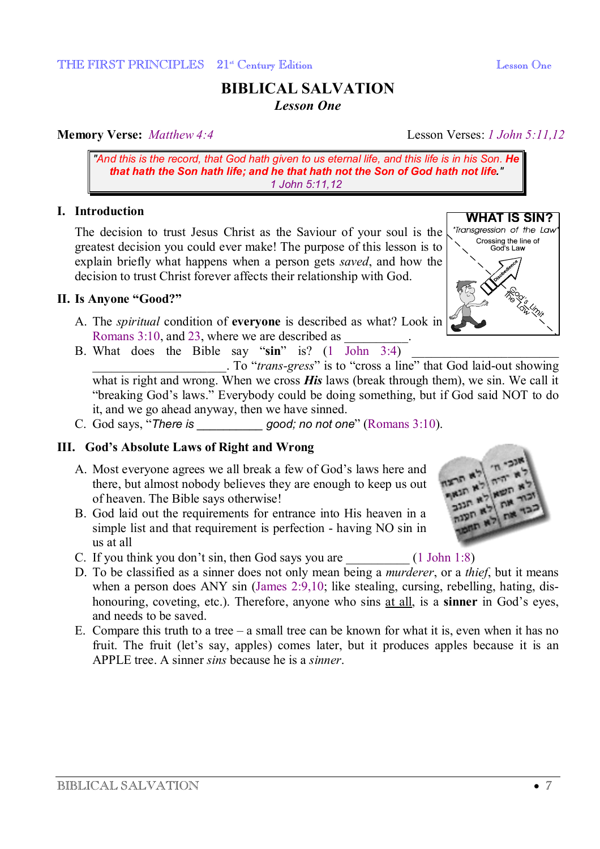# **BIBLICAL SALVATION**  *Lesson One*

## **Memory Verse:** *Matthew 4:4* Lesson Verses: *1 John 5:11,12*

*"And this is the record, that God hath given to us eternal life, and this life is in his Son. He that hath the Son hath life; and he that hath not the Son of God hath not life." 1 John 5:11,12*

## **I. Introduction**

The decision to trust Jesus Christ as the Saviour of your soul is the greatest decision you could ever make! The purpose of this lesson is to explain briefly what happens when a person gets *saved*, and how the decision to trust Christ forever affects their relationship with God.

## **II. Is Anyone "Good?"**

- A. The *spiritual* condition of **everyone** is described as what? Look in Romans 3:10, and 23, where we are described as
- B. What does the Bible say " $\sin$ " is?  $(1)$   $\overline{\text{John } 3:4)}$ \_\_\_\_\_\_\_\_\_\_\_\_\_\_\_\_\_\_\_\_\_. To "*trans-gress*" is to "cross a line" that God laid-out showing what is right and wrong. When we cross **His** laws (break through them), we sin. We call it "breaking God's laws." Everybody could be doing something, but if God said NOT to do it, and we go ahead anyway, then we have sinned.
- C. God says, "*There is \_\_\_\_\_\_\_\_\_\_ good; no not one*" (Romans 3:10).

## **III. God's Absolute Laws of Right and Wrong**

- A. Most everyone agrees we all break a few of God's laws here and there, but almost nobody believes they are enough to keep us out of heaven. The Bible says otherwise!
- B. God laid out the requirements for entrance into His heaven in a simple list and that requirement is perfection - having NO sin in us at all
- C. If you think you don't sin, then God says you are  $(1 \text{ John } 1:8)$
- D. To be classified as a sinner does not only mean being a *murderer*, or a *thief*, but it means when a person does ANY sin (James 2:9,10; like stealing, cursing, rebelling, hating, dishonouring, coveting, etc.). Therefore, anyone who sins at all, is a **sinner** in God's eyes, and needs to be saved.
- E. Compare this truth to a tree  $-$  a small tree can be known for what it is, even when it has no fruit. The fruit (let's say, apples) comes later, but it produces apples because it is an APPLE tree. A sinner *sins* because he is a *sinner*.



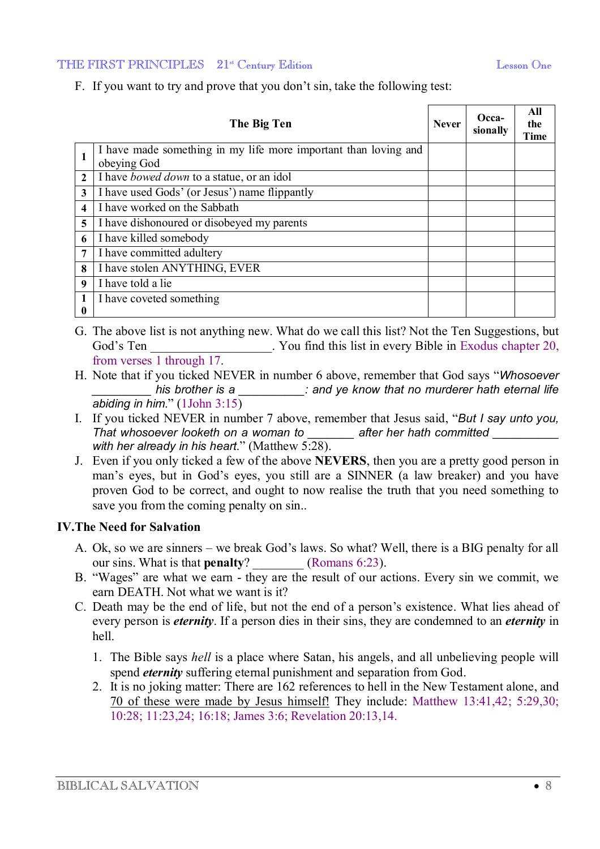#### THE FIRST PRINCIPLES 21<sup>st</sup> Century Edition **Learning Community** Lesson One

F. If you want to try and prove that you don't sin, take the following test:

|              | The Big Ten                                                                    | <b>Never</b> | Occa-<br>sionally | All<br>the<br><b>Time</b> |
|--------------|--------------------------------------------------------------------------------|--------------|-------------------|---------------------------|
|              | I have made something in my life more important than loving and<br>obeying God |              |                   |                           |
| $\mathbf{2}$ | I have <i>bowed down</i> to a statue, or an idol                               |              |                   |                           |
| 3            | I have used Gods' (or Jesus') name flippantly                                  |              |                   |                           |
| 4            | I have worked on the Sabbath                                                   |              |                   |                           |
| 5            | I have dishonoured or disobeyed my parents                                     |              |                   |                           |
| 6            | I have killed somebody                                                         |              |                   |                           |
| 7            | I have committed adultery                                                      |              |                   |                           |
| 8            | I have stolen ANYTHING, EVER                                                   |              |                   |                           |
| 9            | I have told a lie                                                              |              |                   |                           |
| 0            | I have coveted something                                                       |              |                   |                           |

- G. The above list is not anything new. What do we call this list? Not the Ten Suggestions, but God's Ten South Mondon Controllering Nous in every Bible in Exodus chapter 20, from verses 1 through 17.
- H. Note that if you ticked NEVER in number 6 above, remember that God says "*Whosoever \_\_\_\_\_\_\_\_\_ his brother is a \_\_\_\_\_\_\_\_\_\_: and ye know that no murderer hath eternal life abiding in him*." (1John 3:15)
- I. If you ticked NEVER in number 7 above, remember that Jesus said, "*But I say unto you, That whosoever looketh on a woman to \_\_\_\_\_\_\_ after her hath committed \_\_\_\_\_\_\_\_\_\_ with her already in his heart*." (Matthew 5:28).
- J. Even if you only ticked a few of the above **NEVERS**, then you are a pretty good person in man's eyes, but in God's eyes, you still are a SINNER (a law breaker) and you have proven God to be correct, and ought to now realise the truth that you need something to save you from the coming penalty on sin..

### **IV.The Need for Salvation**

- A. Ok, so we are sinners we break God's laws. So what? Well, there is a BIG penalty for all our sins. What is that **penalty**? (Romans 6:23).
- B. "Wages" are what we earn they are the result of our actions. Every sin we commit, we earn DEATH. Not what we want is it?
- C. Death may be the end of life, but not the end of a person's existence. What lies ahead of every person is *eternity*. If a person dies in their sins, they are condemned to an *eternity* in hell.
	- 1. The Bible says *hell* is a place where Satan, his angels, and all unbelieving people will spend *eternity* suffering eternal punishment and separation from God.
	- 2. It is no joking matter: There are 162 references to hell in the New Testament alone, and 70 of these were made by Jesus himself! They include: Matthew 13:41,42; 5:29,30; 10:28; 11:23,24; 16:18; James 3:6; Revelation 20:13,14.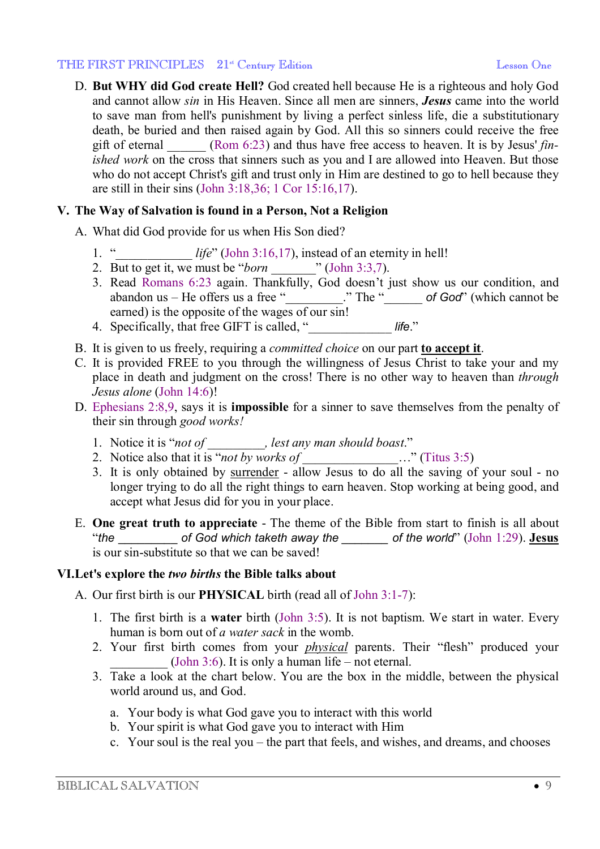D. **But WHY did God create Hell?** God created hell because He is a righteous and holy God and cannot allow *sin* in His Heaven. Since all men are sinners, *Jesus* came into the world to save man from hell's punishment by living a perfect sinless life, die a substitutionary death, be buried and then raised again by God. All this so sinners could receive the free gift of eternal \_\_\_\_\_\_ (Rom 6:23) and thus have free access to heaven. It is by Jesus' *finished work* on the cross that sinners such as you and I are allowed into Heaven. But those who do not accept Christ's gift and trust only in Him are destined to go to hell because they are still in their sins (John 3:18,36; 1 Cor 15:16,17).

## **V. The Way of Salvation is found in a Person, Not a Religion**

- A. What did God provide for us when His Son died?
	- 1. "\_\_\_\_\_\_\_\_\_\_\_\_ *life*" (John 3:16,17), instead of an eternity in hell!
	- 2. But to get it, we must be "*born* \_\_\_\_\_\_\_" (John 3:3,7).
	- 3. Read Romans 6:23 again. Thankfully, God doesn't just show us our condition, and abandon us – He offers us a free "\_\_\_\_\_\_\_\_\_\_." The "\_\_\_\_\_\_\_\_\_\_ of God" (which cannot be earned) is the opposite of the wages of our sin!
	- 4. Specifically, that free GIFT is called, "\_\_\_\_\_\_\_\_\_\_\_\_\_ *life*."
- B. It is given to us freely, requiring a *committed choice* on our part **to accept it**.
- C. It is provided FREE to you through the willingness of Jesus Christ to take your and my place in death and judgment on the cross! There is no other way to heaven than *through Jesus alone* (John 14:6)!
- D. Ephesians 2:8,9, says it is **impossible** for a sinner to save themselves from the penalty of their sin through *good works!*
	- 1. Notice it is "*not of \_\_\_\_\_\_\_\_\_, lest any man should boast*."
	- 2. Notice also that it is "*not by works of* \_\_\_\_\_\_\_\_\_\_\_\_\_\_\_…" (Titus 3:5)
	- 3. It is only obtained by surrender allow Jesus to do all the saving of your soul no longer trying to do all the right things to earn heaven. Stop working at being good, and accept what Jesus did for you in your place.
- E. **One great truth to appreciate** The theme of the Bible from start to finish is all about "*the* \_\_\_\_\_\_\_\_\_ *of God which taketh away the \_\_\_\_\_\_\_ of the world*" (John 1:29). **Jesus** is our sin-substitute so that we can be saved!

### **VI.Let's explore the** *two births* **the Bible talks about**

A. Our first birth is our **PHYSICAL** birth (read all of John 3:1-7):

- 1. The first birth is a **water** birth (John 3:5). It is not baptism. We start in water. Every human is born out of *a water sack* in the womb.
- 2. Your first birth comes from your *physical* parents. Their "flesh" produced your (John 3:6). It is only a human life – not eternal.
- 3. Take a look at the chart below. You are the box in the middle, between the physical world around us, and God.
	- a. Your body is what God gave you to interact with this world
	- b. Your spirit is what God gave you to interact with Him
	- c. Your soul is the real you the part that feels, and wishes, and dreams, and chooses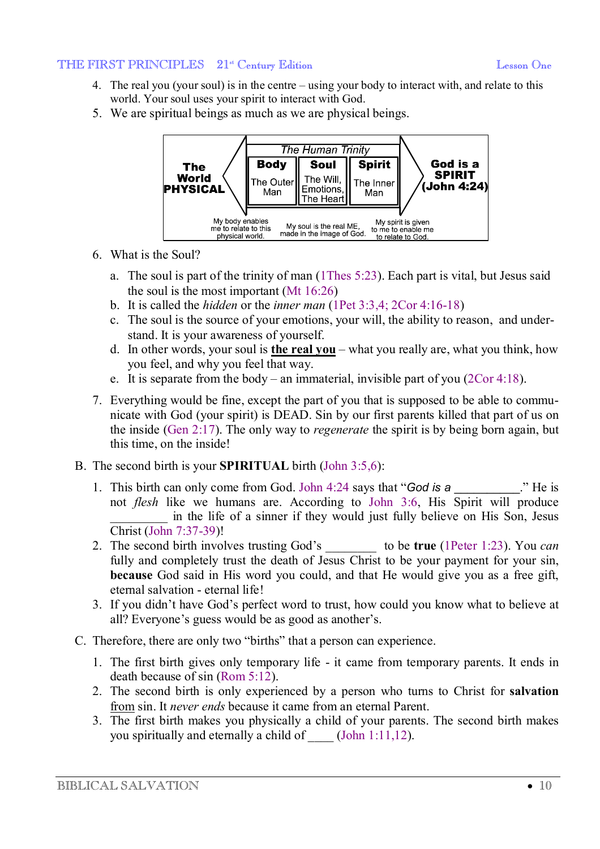- 4. The real you (your soul) is in the centre using your body to interact with, and relate to this world. Your soul uses your spirit to interact with God.
- 5. We are spiritual beings as much as we are physical beings.



- 6. What is the Soul?
	- a. The soul is part of the trinity of man (1Thes 5:23). Each part is vital, but Jesus said the soul is the most important (Mt 16:26)
	- b. It is called the *hidden* or the *inner man* (1Pet 3:3,4; 2Cor 4:16-18)
	- c. The soul is the source of your emotions, your will, the ability to reason, and understand. It is your awareness of yourself.
	- d. In other words, your soul is **the real you** what you really are, what you think, how you feel, and why you feel that way.
	- e. It is separate from the body an immaterial, invisible part of you (2Cor 4:18).
- 7. Everything would be fine, except the part of you that is supposed to be able to communicate with God (your spirit) is DEAD. Sin by our first parents killed that part of us on the inside (Gen 2:17). The only way to *regenerate* the spirit is by being born again, but this time, on the inside!
- B. The second birth is your **SPIRITUAL** birth (John 3:5,6):
	- 1. This birth can only come from God. John 4:24 says that "*God* is a \_\_\_\_\_\_\_\_." He is not *flesh* like we humans are. According to John 3:6, His Spirit will produce in the life of a sinner if they would just fully believe on His Son, Jesus Christ (John 7:37-39)!
	- 2. The second birth involves trusting God's \_\_\_\_\_\_\_\_ to be **true** (1Peter 1:23). You *can* fully and completely trust the death of Jesus Christ to be your payment for your sin, **because** God said in His word you could, and that He would give you as a free gift, eternal salvation - eternal life!
	- 3. If you didn't have God's perfect word to trust, how could you know what to believe at all? Everyone's guess would be as good as another's.
- C. Therefore, there are only two "births" that a person can experience.
	- 1. The first birth gives only temporary life it came from temporary parents. It ends in death because of sin (Rom 5:12).
	- 2. The second birth is only experienced by a person who turns to Christ for **salvation** from sin. It *never ends* because it came from an eternal Parent.
	- 3. The first birth makes you physically a child of your parents. The second birth makes you spiritually and eternally a child of  $(John 1:11,12)$ .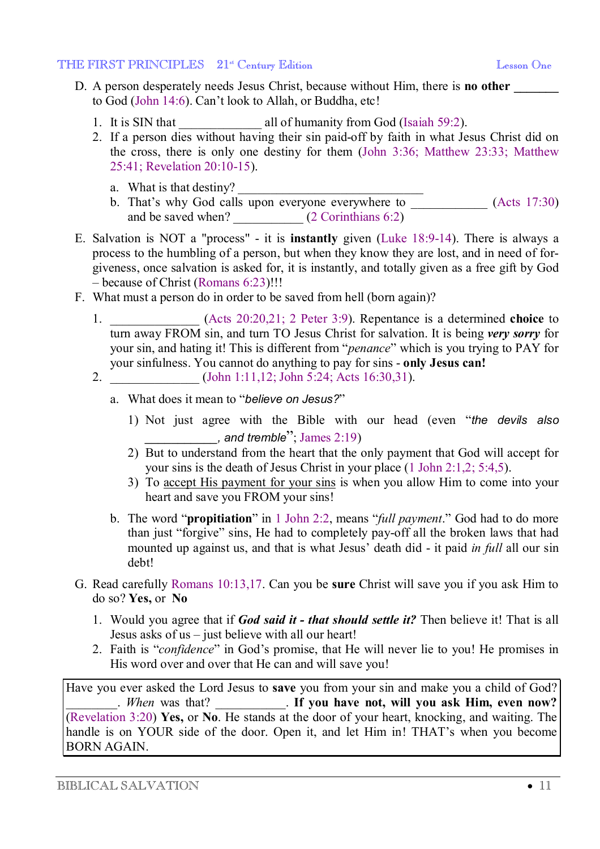- D. A person desperately needs Jesus Christ, because without Him, there is **no other \_\_\_\_\_\_\_** to God (John 14:6). Can't look to Allah, or Buddha, etc!
	- 1. It is SIN that \_\_\_\_\_\_\_\_\_\_\_\_\_\_ all of humanity from God (Isaiah 59:2).
	- 2. If a person dies without having their sin paid-off by faith in what Jesus Christ did on the cross, there is only one destiny for them (John 3:36; Matthew 23:33; Matthew 25:41; Revelation 20:10-15).
		- a. What is that destiny?
		- b. That's why God calls upon everyone everywhere to \_\_\_\_\_\_\_\_\_\_\_\_ (Acts 17:30) and be saved when? \_\_\_\_\_\_\_\_\_\_\_\_ (2 Corinthians 6:2)
- E. Salvation is NOT a "process" it is **instantly** given (Luke 18:9-14). There is always a process to the humbling of a person, but when they know they are lost, and in need of forgiveness, once salvation is asked for, it is instantly, and totally given as a free gift by God – because of Christ (Romans 6:23)!!!
- F. What must a person do in order to be saved from hell (born again)?
	- 1. \_\_\_\_\_\_\_\_\_\_\_\_\_\_ (Acts 20:20,21; 2 Peter 3:9). Repentance is a determined **choice** to turn away FROM sin, and turn TO Jesus Christ for salvation. It is being *very sorry* for your sin, and hating it! This is different from "*penance*" which is you trying to PAY for your sinfulness. You cannot do anything to pay for sins - **only Jesus can!**
	- 2. (John 1:11,12; John 5:24; Acts 16:30,31).
		- a. What does it mean to "*believe on Jesus?*"
			- 1) Not just agree with the Bible with our head (even "*the devils also \_\_\_\_\_\_\_\_\_\_\_, and tremble*"; James 2:19)
			- 2) But to understand from the heart that the only payment that God will accept for your sins is the death of Jesus Christ in your place (1 John 2:1,2; 5:4,5).
			- 3) To accept His payment for your sins is when you allow Him to come into your heart and save you FROM your sins!
		- b. The word "**propitiation**" in 1 John 2:2, means "*full payment*." God had to do more than just "forgive" sins, He had to completely pay-off all the broken laws that had mounted up against us, and that is what Jesus' death did - it paid *in full* all our sin debt!
- G. Read carefully Romans 10:13,17. Can you be **sure** Christ will save you if you ask Him to do so? **Yes,** or **No**
	- 1. Would you agree that if *God said it - that should settle it?* Then believe it! That is all Jesus asks of us – just believe with all our heart!
	- 2. Faith is "*confidence*" in God's promise, that He will never lie to you! He promises in His word over and over that He can and will save you!

Have you ever asked the Lord Jesus to **save** you from your sin and make you a child of God? \_\_\_\_\_\_\_\_. *When* was that? \_\_\_\_\_\_\_\_\_\_\_. **If you have not, will you ask Him, even now?** (Revelation 3:20) **Yes,** or **No**. He stands at the door of your heart, knocking, and waiting. The handle is on YOUR side of the door. Open it, and let Him in! THAT's when you become BORN AGAIN.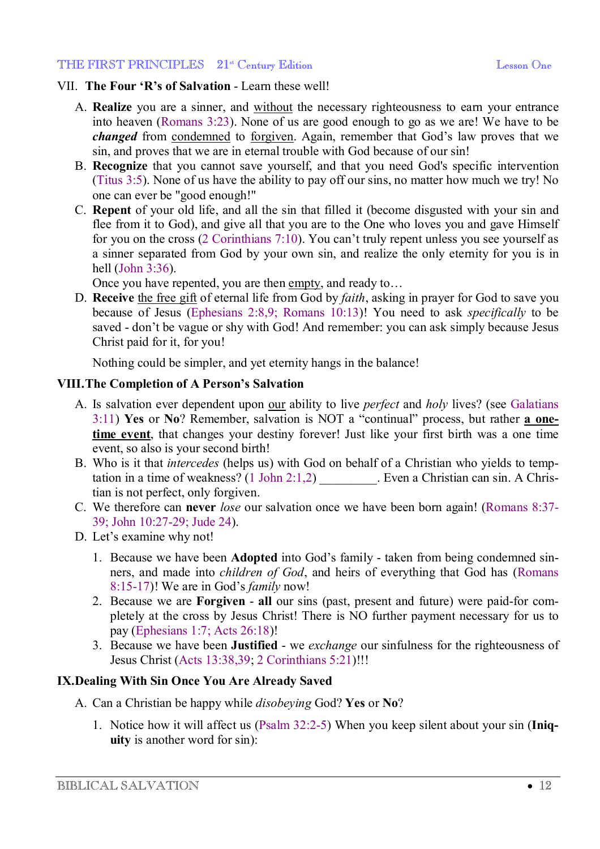### VII. **The Four 'R's of Salvation** - Learn these well!

- A. **Realize** you are a sinner, and without the necessary righteousness to earn your entrance into heaven (Romans 3:23). None of us are good enough to go as we are! We have to be *changed* from condemned to forgiven. Again, remember that God's law proves that we sin, and proves that we are in eternal trouble with God because of our sin!
- B. **Recognize** that you cannot save yourself, and that you need God's specific intervention (Titus 3:5). None of us have the ability to pay off our sins, no matter how much we try! No one can ever be "good enough!"
- C. **Repent** of your old life, and all the sin that filled it (become disgusted with your sin and flee from it to God), and give all that you are to the One who loves you and gave Himself for you on the cross (2 Corinthians 7:10). You can't truly repent unless you see yourself as a sinner separated from God by your own sin, and realize the only eternity for you is in hell (John 3:36).

Once you have repented, you are then empty, and ready to…

D. **Receive** the free gift of eternal life from God by *faith*, asking in prayer for God to save you because of Jesus (Ephesians 2:8,9; Romans 10:13)! You need to ask *specifically* to be saved - don't be vague or shy with God! And remember: you can ask simply because Jesus Christ paid for it, for you!

Nothing could be simpler, and yet eternity hangs in the balance!

## **VIII.The Completion of A Person's Salvation**

- A. Is salvation ever dependent upon our ability to live *perfect* and *holy* lives? (see Galatians 3:11) **Yes** or **No**? Remember, salvation is NOT a "continual" process, but rather **a onetime event**, that changes your destiny forever! Just like your first birth was a one time event, so also is your second birth!
- B. Who is it that *intercedes* (helps us) with God on behalf of a Christian who yields to temptation in a time of weakness? (1 John 2:1,2) Even a Christian can sin. A Christian is not perfect, only forgiven.
- C. We therefore can **never** *lose* our salvation once we have been born again! (Romans 8:37- 39; John 10:27-29; Jude 24).
- D. Let's examine why not!
	- 1. Because we have been **Adopted** into God's family taken from being condemned sinners, and made into *children of God*, and heirs of everything that God has (Romans 8:15-17)! We are in God's *family* now!
	- 2. Because we are **Forgiven all** our sins (past, present and future) were paid-for completely at the cross by Jesus Christ! There is NO further payment necessary for us to pay (Ephesians 1:7; Acts 26:18)!
	- 3. Because we have been **Justified** we *exchange* our sinfulness for the righteousness of Jesus Christ (Acts 13:38,39; 2 Corinthians 5:21)!!!

### **IX.Dealing With Sin Once You Are Already Saved**

- A. Can a Christian be happy while *disobeying* God? **Yes** or **No**?
	- 1. Notice how it will affect us (Psalm 32:2-5) When you keep silent about your sin (**Iniquity** is another word for sin):